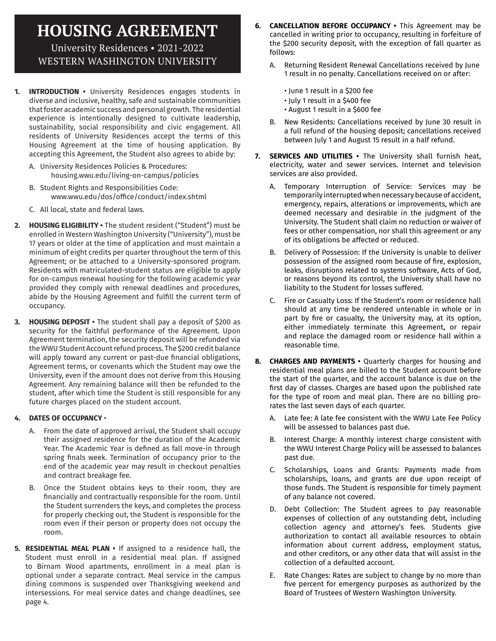# **HOUSING AGREEMENT**

University Residences • 2021-2022 WESTERN WASHINGTON UNIVERSITY

- **INTRODUCTION** University Residences engages students in diverse and inclusive, healthy, safe and sustainable communities that foster academic success and personal growth. The residential experience is intentionally designed to cultivate leadership, sustainability, social responsibility and civic engagement. All residents of University Residences accept the terms of this Housing Agreement at the time of housing application. By accepting this Agreement, the Student also agrees to abide by:
	- A. University Residences Policies & Procedures: housing.wwu.edu/living-on-campus/policies
	- B. Student Rights and Responsibilities Code: www.wwu.edu/dos/office/conduct/index.shtml
	- C. All local, state and federal laws.
- **2. HOUSING ELIGIBILITY •** The student resident ("Student") must be enrolled in Western Washington University ("University"), must be 17 years or older at the time of application and must maintain a minimum of eight credits per quarter throughout the term of this Agreement; or be attached to a University-sponsored program. Residents with matriculated-student status are eligible to apply for on-campus renewal housing for the following academic year provided they comply with renewal deadlines and procedures, abide by the Housing Agreement and fulfill the current term of occupancy.
- **3. HOUSING DEPOSIT •** The student shall pay a deposit of \$200 as security for the faithful performance of the Agreement. Upon Agreement termination, the security deposit will be refunded via the WWU Student Account refund process. The \$200 credit balance will apply toward any current or past-due financial obligations, Agreement terms, or covenants which the Student may owe the University, even if the amount does not derive from this Housing Agreement. Any remaining balance will then be refunded to the student, after which time the Student is still responsible for any future charges placed on the student account.

### **4. DATES OF OCCUPANCY** •

- A. From the date of approved arrival, the Student shall occupy their assigned residence for the duration of the Academic Year. The Academic Year is defined as fall move-in through spring finals week. Termination of occupancy prior to the end of the academic year may result in checkout penalties and contract breakage fee.
- B. Once the Student obtains keys to their room, they are financially and contractually responsible for the room. Until the Student surrenders the keys, and completes the process for properly checking out, the Student is responsible for the room even if their person or property does not occupy the room.
- **5. RESIDENTIAL MEAL PLAN •** If assigned to a residence hall, the Student must enroll in a residential meal plan. If assigned to Birnam Wood apartments, enrollment in a meal plan is optional under a separate contract. Meal service in the campus dining commons is suspended over Thanksgiving weekend and intersessions. For meal service dates and change deadlines, see page 4.
- **6. CANCELLATION BEFORE OCCUPANCY •** This Agreement may be cancelled in writing prior to occupancy, resulting in forfeiture of the \$200 security deposit, with the exception of fall quarter as follows:
	- A. Returning Resident Renewal Cancellations received by June 1 result in no penalty. Cancellations received on or after:
		- June 1 result in a \$200 fee
		- July 1 result in a \$400 fee
		- August 1 result in a \$600 fee
	- B. New Residents: Cancellations received by June 30 result in a full refund of the housing deposit; cancellations received between July 1 and August 15 result in a half refund.
- **7. SERVICES AND UTILITIES •** The University shall furnish heat, electricity, water and sewer services. Internet and television services are also provided.
	- A. Temporary Interruption of Service: Services may be temporarily interrupted when necessary because of accident, emergency, repairs, alterations or improvements, which are deemed necessary and desirable in the judgment of the University. The Student shall claim no reduction or waiver of fees or other compensation, nor shall this agreement or any of its obligations be affected or reduced.
	- B. Delivery of Possession: If the University is unable to deliver possession of the assigned room because of fire, explosion, leaks, disruptions related to systems software, Acts of God, or reasons beyond its control, the University shall have no liability to the Student for losses suffered.
	- C. Fire or Casualty Loss: If the Student's room or residence hall should at any time be rendered untenable in whole or in part by fire or casualty, the University may, at its option, either immediately terminate this Agreement, or repair and replace the damaged room or residence hall within a reasonable time.
- **8. CHARGES AND PAYMENTS •** Quarterly charges for housing and residential meal plans are billed to the Student account before the start of the quarter, and the account balance is due on the first day of classes. Charges are based upon the published rate for the type of room and meal plan. There are no billing prorates the last seven days of each quarter.
	- A. Late fee: A late fee consistent with the WWU Late Fee Policy will be assessed to balances past due.
	- B. Interest Charge: A monthly interest charge consistent with the WWU Interest Charge Policy will be assessed to balances past due.
	- C. Scholarships, Loans and Grants: Payments made from scholarships, loans, and grants are due upon receipt of those funds. The Student is responsible for timely payment of any balance not covered.
	- D. Debt Collection: The Student agrees to pay reasonable expenses of collection of any outstanding debt, including collection agency and attorney's fees. Students give authorization to contact all available resources to obtain information about current address, employment status, and other creditors, or any other data that will assist in the collection of a defaulted account.
	- E. Rate Changes: Rates are subject to change by no more than five percent for emergency purposes as authorized by the Board of Trustees of Western Washington University.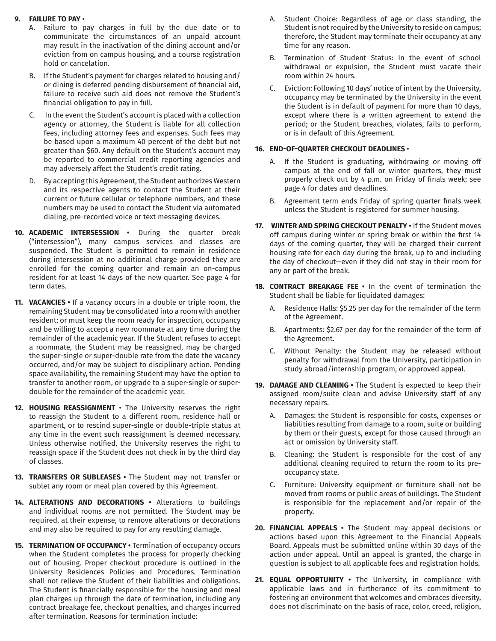#### **9. FAILURE TO PAY** •

- A. Failure to pay charges in full by the due date or to communicate the circumstances of an unpaid account may result in the inactivation of the dining account and/or eviction from on campus housing, and a course registration hold or cancelation.
- B. If the Student's payment for charges related to housing and/ or dining is deferred pending disbursement of financial aid, failure to receive such aid does not remove the Student's financial obligation to pay in full.
- C. In the event the Student's account is placed with a collection agency or attorney, the Student is liable for all collection fees, including attorney fees and expenses. Such fees may be based upon a maximum 40 percent of the debt but not greater than \$60. Any default on the Student's account may be reported to commercial credit reporting agencies and may adversely affect the Student's credit rating.
- D. By accepting this Agreement, the Student authorizes Western and its respective agents to contact the Student at their current or future cellular or telephone numbers, and these numbers may be used to contact the Student via automated dialing, pre-recorded voice or text messaging devices.
- **10. ACADEMIC INTERSESSION •** During the quarter break ("intersession"), many campus services and classes are suspended. The Student is permitted to remain in residence during intersession at no additional charge provided they are enrolled for the coming quarter and remain an on-campus resident for at least 14 days of the new quarter. See page 4 for term dates.
- **11. VACANCIES •** If a vacancy occurs in a double or triple room, the remaining Student may be consolidated into a room with another resident; or must keep the room ready for inspection, occupancy and be willing to accept a new roommate at any time during the remainder of the academic year. If the Student refuses to accept a roommate, the Student may be reassigned, may be charged the super-single or super-double rate from the date the vacancy occurred, and/or may be subject to disciplinary action. Pending space availability, the remaining Student may have the option to transfer to another room, or upgrade to a super-single or superdouble for the remainder of the academic year.
- **12. HOUSING REASSIGNMENT**  The University reserves the right to reassign the Student to a different room, residence hall or apartment, or to rescind super-single or double-triple status at any time in the event such reassignment is deemed necessary. Unless otherwise notified, the University reserves the right to reassign space if the Student does not check in by the third day of classes.
- **13. TRANSFERS OR SUBLEASES •** The Student may not transfer or sublet any room or meal plan covered by this Agreement.
- **14. ALTERATIONS AND DECORATIONS •** Alterations to buildings and individual rooms are not permitted. The Student may be required, at their expense, to remove alterations or decorations and may also be required to pay for any resulting damage.
- **15. TERMINATION OF OCCUPANCY •** Termination of occupancy occurs when the Student completes the process for properly checking out of housing. Proper checkout procedure is outlined in the University Residences Policies and Procedures. Termination shall not relieve the Student of their liabilities and obligations. The Student is financially responsible for the housing and meal plan charges up through the date of termination, including any contract breakage fee, checkout penalties, and charges incurred after termination. Reasons for termination include:
- A. Student Choice: Regardless of age or class standing, the Student is not required by the University to reside on campus; therefore, the Student may terminate their occupancy at any time for any reason.
- B. Termination of Student Status: In the event of school withdrawal or expulsion, the Student must vacate their room within 24 hours.
- C. Eviction: Following 10 days' notice of intent by the University, occupancy may be terminated by the University in the event the Student is in default of payment for more than 10 days, except where there is a written agreement to extend the period; or the Student breaches, violates, fails to perform, or is in default of this Agreement.

#### **16. END-OF-QUARTER CHECKOUT DEADLINES** •

- A. If the Student is graduating, withdrawing or moving off campus at the end of fall or winter quarters, they must properly check out by 4 p.m. on Friday of finals week; see page 4 for dates and deadlines.
- B. Agreement term ends Friday of spring quarter finals week unless the Student is registered for summer housing.
- **17. WINTER AND SPRING CHECKOUT PENALTY •** If the Student moves off campus during winter or spring break or within the first 14 days of the coming quarter, they will be charged their current housing rate for each day during the break, up to and including the day of checkout—even if they did not stay in their room for any or part of the break.
- **18. CONTRACT BREAKAGE FEE •** In the event of termination the Student shall be liable for liquidated damages:
	- A. Residence Halls: \$5.25 per day for the remainder of the term of the Agreement.
	- B. Apartments: \$2.67 per day for the remainder of the term of the Agreement.
	- C. Without Penalty: the Student may be released without penalty for withdrawal from the University, participation in study abroad/internship program, or approved appeal.
- **19. DAMAGE AND CLEANING •** The Student is expected to keep their assigned room/suite clean and advise University staff of any necessary repairs.
	- A. Damages: the Student is responsible for costs, expenses or liabilities resulting from damage to a room, suite or building by them or their guests, except for those caused through an act or omission by University staff.
	- B. Cleaning: the Student is responsible for the cost of any additional cleaning required to return the room to its preoccupancy state.
	- C. Furniture: University equipment or furniture shall not be moved from rooms or public areas of buildings. The Student is responsible for the replacement and/or repair of the property.
- **20. FINANCIAL APPEALS •** The Student may appeal decisions or actions based upon this Agreement to the Financial Appeals Board. Appeals must be submitted online within 30 days of the action under appeal. Until an appeal is granted, the charge in question is subject to all applicable fees and registration holds.
- 21. **EQUAL OPPORTUNITY** The University, in compliance with applicable laws and in furtherance of its commitment to fostering an environment that welcomes and embraces diversity, does not discriminate on the basis of race, color, creed, religion,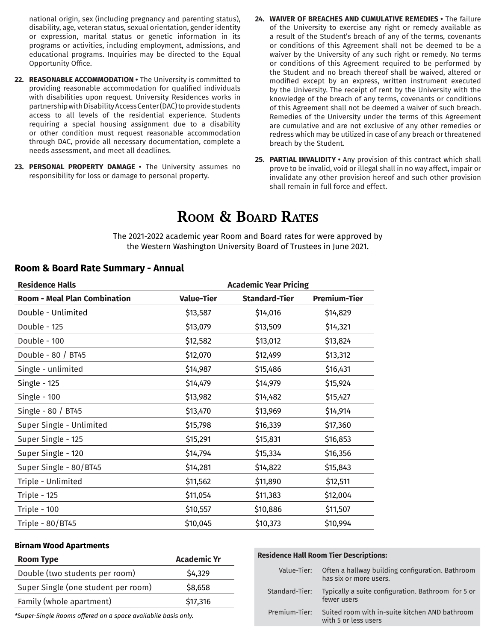national origin, sex (including pregnancy and parenting status), disability, age, veteran status, sexual orientation, gender identity or expression, marital status or genetic information in its programs or activities, including employment, admissions, and educational programs. Inquiries may be directed to the Equal Opportunity Office.

- **22. REASONABLE ACCOMMODATION •** The University is committed to providing reasonable accommodation for qualified individuals with disabilities upon request. University Residences works in partnership with Disability Access Center (DAC) to provide students access to all levels of the residential experience. Students requiring a special housing assignment due to a disability or other condition must request reasonable accommodation through DAC, provide all necessary documentation, complete a needs assessment, and meet all deadlines.
- **23. PERSONAL PROPERTY DAMAGE •** The University assumes no responsibility for loss or damage to personal property.
- **24. WAIVER OF BREACHES AND CUMULATIVE REMEDIES •** The failure of the University to exercise any right or remedy available as a result of the Student's breach of any of the terms, covenants or conditions of this Agreement shall not be deemed to be a waiver by the University of any such right or remedy. No terms or conditions of this Agreement required to be performed by the Student and no breach thereof shall be waived, altered or modified except by an express, written instrument executed by the University. The receipt of rent by the University with the knowledge of the breach of any terms, covenants or conditions of this Agreement shall not be deemed a waiver of such breach. Remedies of the University under the terms of this Agreement are cumulative and are not exclusive of any other remedies or redress which may be utilized in case of any breach or threatened breach by the Student.
- **25. PARTIAL INVALIDITY •** Any provision of this contract which shall prove to be invalid, void or illegal shall in no way affect, impair or invalidate any other provision hereof and such other provision shall remain in full force and effect.

## **Room & Board Rates**

The 2021-2022 academic year Room and Board rates for were approved by the Western Washington University Board of Trustees in June 2021.

## **Room & Board Rate Summary - Annual**

| <b>Residence Halls</b>              |                   | <b>Academic Year Pricing</b> |                     |  |  |
|-------------------------------------|-------------------|------------------------------|---------------------|--|--|
| <b>Room - Meal Plan Combination</b> | <b>Value-Tier</b> | <b>Standard-Tier</b>         | <b>Premium-Tier</b> |  |  |
| Double - Unlimited                  | \$13,587          | \$14,016                     | \$14,829            |  |  |
| Double - 125                        | \$13,079          | \$13,509                     | \$14,321            |  |  |
| Double - 100                        | \$12,582          | \$13,012                     | \$13,824            |  |  |
| Double - 80 / BT45                  | \$12,070          | \$12,499                     | \$13,312            |  |  |
| Single - unlimited                  | \$14,987          | \$15,486                     | \$16,431            |  |  |
| <b>Single - 125</b>                 | \$14,479          | \$14,979                     | \$15,924            |  |  |
| Single - 100                        | \$13,982          | \$14,482                     | \$15,427            |  |  |
| Single - 80 / BT45                  | \$13,470          | \$13,969                     | \$14,914            |  |  |
| Super Single - Unlimited            | \$15,798          | \$16,339                     | \$17,360            |  |  |
| Super Single - 125                  | \$15,291          | \$15,831                     | \$16,853            |  |  |
| Super Single - 120                  | \$14,794          | \$15,334                     | \$16,356            |  |  |
| Super Single - 80/BT45              | \$14,281          | \$14,822                     | \$15,843            |  |  |
| Triple - Unlimited                  | \$11,562          | \$11,890                     | \$12,511            |  |  |
| Triple - 125                        | \$11,054          | \$11,383                     | \$12,004            |  |  |
| Triple - 100                        | \$10,557          | \$10,886                     | \$11,507            |  |  |
| Triple - 80/BT45                    | \$10,045          | \$10,373                     | \$10,994            |  |  |

#### **Birnam Wood Apartments**

| <b>Room Type</b>                    | <b>Academic Yr</b> |
|-------------------------------------|--------------------|
| Double (two students per room)      | \$4,329            |
| Super Single (one student per room) | \$8,658            |
| Family (whole apartment)            | \$17,316           |

*\*Super-Single Rooms offered on a space availabile basis only.*

#### **Residence Hall Room Tier Descriptions:**

|                | Value-Tier: Often a hallway building configuration. Bathroom<br>has six or more users. |
|----------------|----------------------------------------------------------------------------------------|
| Standard-Tier: | Typically a suite configuration. Bathroom for 5 or<br>fewer users                      |
| Premium-Tier:  | Suited room with in-suite kitchen AND bathroom<br>with 5 or less users                 |